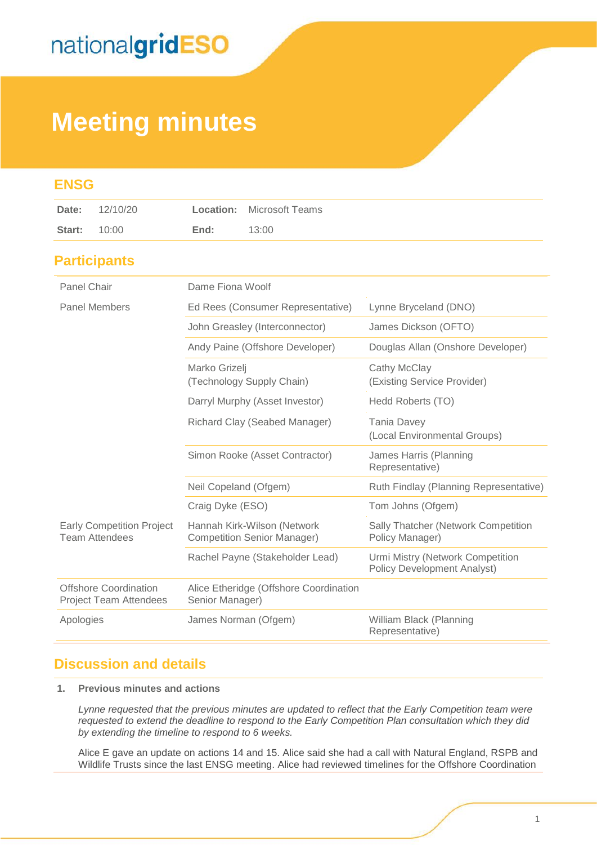# **Meeting minutes**

| <b>ENSG</b>                                                   |                                                                   |                                                                        |
|---------------------------------------------------------------|-------------------------------------------------------------------|------------------------------------------------------------------------|
| 12/10/20<br>Date:                                             | <b>Microsoft Teams</b><br>Location:                               |                                                                        |
| Start:<br>10:00                                               | End:<br>13:00                                                     |                                                                        |
| <b>Participants</b>                                           |                                                                   |                                                                        |
| Panel Chair                                                   | Dame Fiona Woolf                                                  |                                                                        |
| <b>Panel Members</b>                                          | Ed Rees (Consumer Representative)                                 | Lynne Bryceland (DNO)                                                  |
|                                                               | John Greasley (Interconnector)                                    | James Dickson (OFTO)                                                   |
|                                                               | Andy Paine (Offshore Developer)                                   | Douglas Allan (Onshore Developer)                                      |
|                                                               | Marko Grizelj<br>(Technology Supply Chain)                        | Cathy McClay<br>(Existing Service Provider)                            |
|                                                               | Darryl Murphy (Asset Investor)                                    | Hedd Roberts (TO)                                                      |
|                                                               | Richard Clay (Seabed Manager)                                     | <b>Tania Davey</b><br>(Local Environmental Groups)                     |
|                                                               | Simon Rooke (Asset Contractor)                                    | James Harris (Planning<br>Representative)                              |
|                                                               | Neil Copeland (Ofgem)                                             | Ruth Findlay (Planning Representative)                                 |
|                                                               | Craig Dyke (ESO)                                                  | Tom Johns (Ofgem)                                                      |
| <b>Early Competition Project</b><br><b>Team Attendees</b>     | Hannah Kirk-Wilson (Network<br><b>Competition Senior Manager)</b> | Sally Thatcher (Network Competition<br>Policy Manager)                 |
|                                                               | Rachel Payne (Stakeholder Lead)                                   | Urmi Mistry (Network Competition<br><b>Policy Development Analyst)</b> |
| <b>Offshore Coordination</b><br><b>Project Team Attendees</b> | Alice Etheridge (Offshore Coordination<br>Senior Manager)         |                                                                        |
| Apologies                                                     | James Norman (Ofgem)                                              | William Black (Planning<br>Representative)                             |

### **Discussion and details**

**1. Previous minutes and actions**

*Lynne requested that the previous minutes are updated to reflect that the Early Competition team were requested to extend the deadline to respond to the Early Competition Plan consultation which they did by extending the timeline to respond to 6 weeks.*

Alice E gave an update on actions 14 and 15. Alice said she had a call with Natural England, RSPB and Wildlife Trusts since the last ENSG meeting. Alice had reviewed timelines for the Offshore Coordination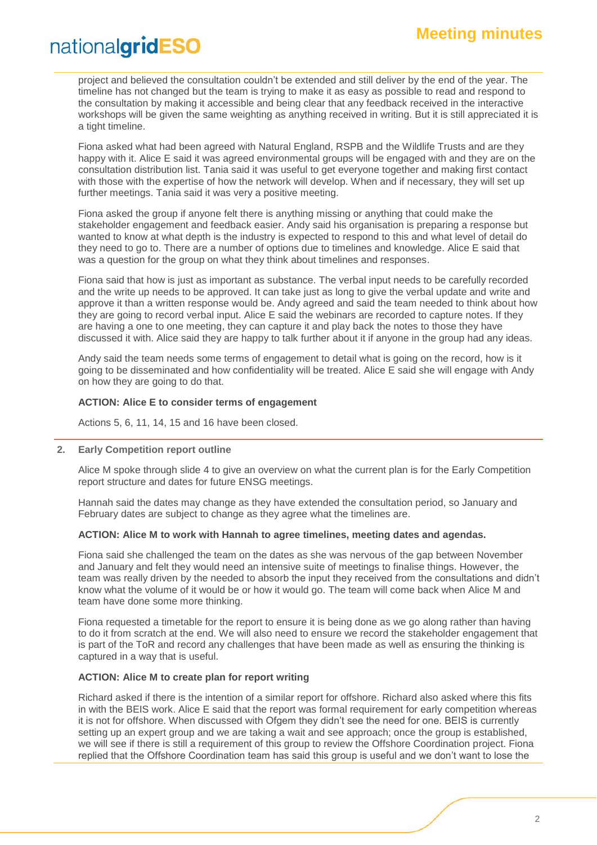project and believed the consultation couldn't be extended and still deliver by the end of the year. The timeline has not changed but the team is trying to make it as easy as possible to read and respond to the consultation by making it accessible and being clear that any feedback received in the interactive workshops will be given the same weighting as anything received in writing. But it is still appreciated it is a tight timeline.

Fiona asked what had been agreed with Natural England, RSPB and the Wildlife Trusts and are they happy with it. Alice E said it was agreed environmental groups will be engaged with and they are on the consultation distribution list. Tania said it was useful to get everyone together and making first contact with those with the expertise of how the network will develop. When and if necessary, they will set up further meetings. Tania said it was very a positive meeting.

Fiona asked the group if anyone felt there is anything missing or anything that could make the stakeholder engagement and feedback easier. Andy said his organisation is preparing a response but wanted to know at what depth is the industry is expected to respond to this and what level of detail do they need to go to. There are a number of options due to timelines and knowledge. Alice E said that was a question for the group on what they think about timelines and responses.

Fiona said that how is just as important as substance. The verbal input needs to be carefully recorded and the write up needs to be approved. It can take just as long to give the verbal update and write and approve it than a written response would be. Andy agreed and said the team needed to think about how they are going to record verbal input. Alice E said the webinars are recorded to capture notes. If they are having a one to one meeting, they can capture it and play back the notes to those they have discussed it with. Alice said they are happy to talk further about it if anyone in the group had any ideas.

Andy said the team needs some terms of engagement to detail what is going on the record, how is it going to be disseminated and how confidentiality will be treated. Alice E said she will engage with Andy on how they are going to do that.

#### **ACTION: Alice E to consider terms of engagement**

Actions 5, 6, 11, 14, 15 and 16 have been closed.

**2. Early Competition report outline**

Alice M spoke through slide 4 to give an overview on what the current plan is for the Early Competition report structure and dates for future ENSG meetings.

Hannah said the dates may change as they have extended the consultation period, so January and February dates are subject to change as they agree what the timelines are.

#### **ACTION: Alice M to work with Hannah to agree timelines, meeting dates and agendas.**

Fiona said she challenged the team on the dates as she was nervous of the gap between November and January and felt they would need an intensive suite of meetings to finalise things. However, the team was really driven by the needed to absorb the input they received from the consultations and didn't know what the volume of it would be or how it would go. The team will come back when Alice M and team have done some more thinking.

Fiona requested a timetable for the report to ensure it is being done as we go along rather than having to do it from scratch at the end. We will also need to ensure we record the stakeholder engagement that is part of the ToR and record any challenges that have been made as well as ensuring the thinking is captured in a way that is useful.

#### **ACTION: Alice M to create plan for report writing**

Richard asked if there is the intention of a similar report for offshore. Richard also asked where this fits in with the BEIS work. Alice E said that the report was formal requirement for early competition whereas it is not for offshore. When discussed with Ofgem they didn't see the need for one. BEIS is currently setting up an expert group and we are taking a wait and see approach; once the group is established, we will see if there is still a requirement of this group to review the Offshore Coordination project. Fiona replied that the Offshore Coordination team has said this group is useful and we don't want to lose the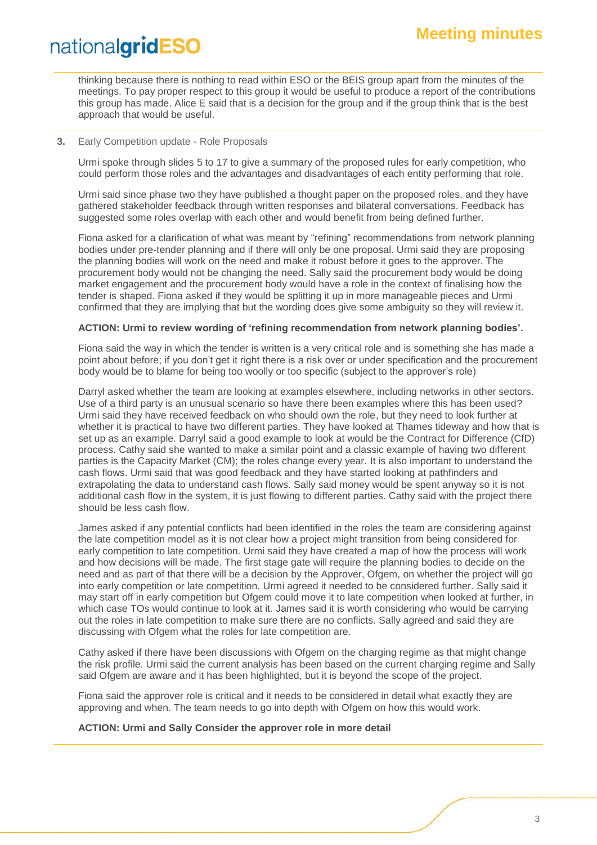### **Meeting minutes**

## nationalgridESO

thinking because there is nothing to read within ESO or the BEIS group apart from the minutes of the meetings. To pay proper respect to this group it would be useful to produce a report of the contributions this group has made. Alice E said that is a decision for the group and if the group think that is the best approach that would be useful.

#### **3.** Early Competition update - Role Proposals

Urmi spoke through slides 5 to 17 to give a summary of the proposed rules for early competition, who could perform those roles and the advantages and disadvantages of each entity performing that role.

Urmi said since phase two they have published a thought paper on the proposed roles, and they have gathered stakeholder feedback through written responses and bilateral conversations. Feedback has suggested some roles overlap with each other and would benefit from being defined further.

Fiona asked for a clarification of what was meant by "refining" recommendations from network planning bodies under pre-tender planning and if there will only be one proposal. Urmi said they are proposing the planning bodies will work on the need and make it robust before it goes to the approver. The procurement body would not be changing the need. Sally said the procurement body would be doing market engagement and the procurement body would have a role in the context of finalising how the tender is shaped. Fiona asked if they would be splitting it up in more manageable pieces and Urmi confirmed that they are implying that but the wording does give some ambiguity so they will review it.

#### **ACTION: Urmi to review wording of 'refining recommendation from network planning bodies'.**

Fiona said the way in which the tender is written is a very critical role and is something she has made a point about before; if you don't get it right there is a risk over or under specification and the procurement body would be to blame for being too woolly or too specific (subject to the approver's role)

Darryl asked whether the team are looking at examples elsewhere, including networks in other sectors. Use of a third party is an unusual scenario so have there been examples where this has been used? Urmi said they have received feedback on who should own the role, but they need to look further at whether it is practical to have two different parties. They have looked at Thames tideway and how that is set up as an example. Darryl said a good example to look at would be the Contract for Difference (CfD) process. Cathy said she wanted to make a similar point and a classic example of having two different parties is the Capacity Market (CM); the roles change every year. It is also important to understand the cash flows. Urmi said that was good feedback and they have started looking at pathfinders and extrapolating the data to understand cash flows. Sally said money would be spent anyway so it is not additional cash flow in the system, it is just flowing to different parties. Cathy said with the project there should be less cash flow.

James asked if any potential conflicts had been identified in the roles the team are considering against the late competition model as it is not clear how a project might transition from being considered for early competition to late competition. Urmi said they have created a map of how the process will work and how decisions will be made. The first stage gate will require the planning bodies to decide on the need and as part of that there will be a decision by the Approver, Ofgem, on whether the project will go into early competition or late competition. Urmi agreed it needed to be considered further. Sally said it may start off in early competition but Ofgem could move it to late competition when looked at further, in which case TOs would continue to look at it. James said it is worth considering who would be carrying out the roles in late competition to make sure there are no conflicts. Sally agreed and said they are discussing with Ofgem what the roles for late competition are.

Cathy asked if there have been discussions with Ofgem on the charging regime as that might change the risk profile. Urmi said the current analysis has been based on the current charging regime and Sally said Ofgem are aware and it has been highlighted, but it is beyond the scope of the project.

Fiona said the approver role is critical and it needs to be considered in detail what exactly they are approving and when. The team needs to go into depth with Ofgem on how this would work.

#### **ACTION: Urmi and Sally Consider the approver role in more detail**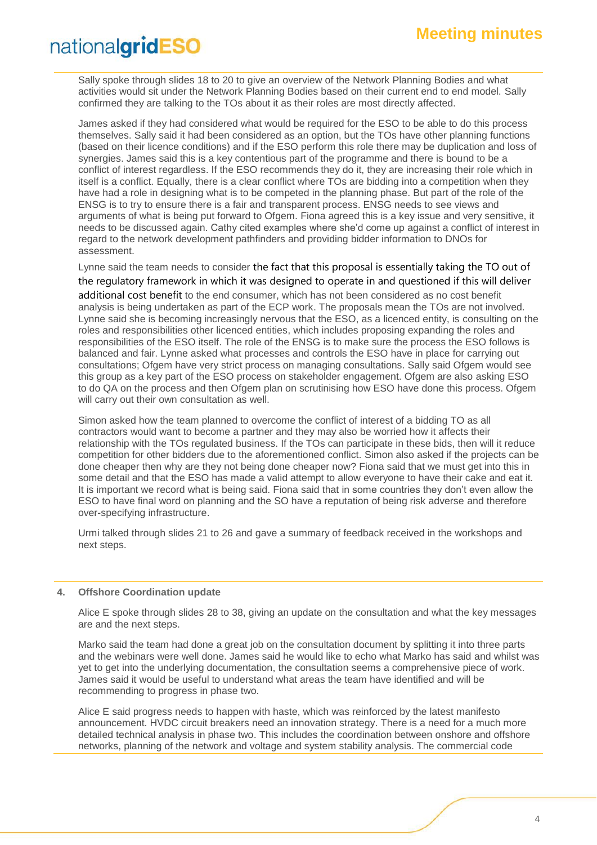Sally spoke through slides 18 to 20 to give an overview of the Network Planning Bodies and what activities would sit under the Network Planning Bodies based on their current end to end model. Sally confirmed they are talking to the TOs about it as their roles are most directly affected.

James asked if they had considered what would be required for the ESO to be able to do this process themselves. Sally said it had been considered as an option, but the TOs have other planning functions (based on their licence conditions) and if the ESO perform this role there may be duplication and loss of synergies. James said this is a key contentious part of the programme and there is bound to be a conflict of interest regardless. If the ESO recommends they do it, they are increasing their role which in itself is a conflict. Equally, there is a clear conflict where TOs are bidding into a competition when they have had a role in designing what is to be competed in the planning phase. But part of the role of the ENSG is to try to ensure there is a fair and transparent process. ENSG needs to see views and arguments of what is being put forward to Ofgem. Fiona agreed this is a key issue and very sensitive, it needs to be discussed again. Cathy cited examples where she'd come up against a conflict of interest in regard to the network development pathfinders and providing bidder information to DNOs for assessment.

Lynne said the team needs to consider the fact that this proposal is essentially taking the TO out of the regulatory framework in which it was designed to operate in and questioned if this will deliver additional cost benefit to the end consumer, which has not been considered as no cost benefit analysis is being undertaken as part of the ECP work. The proposals mean the TOs are not involved. Lynne said she is becoming increasingly nervous that the ESO, as a licenced entity, is consulting on the roles and responsibilities other licenced entities, which includes proposing expanding the roles and responsibilities of the ESO itself. The role of the ENSG is to make sure the process the ESO follows is balanced and fair. Lynne asked what processes and controls the ESO have in place for carrying out consultations; Ofgem have very strict process on managing consultations. Sally said Ofgem would see this group as a key part of the ESO process on stakeholder engagement. Ofgem are also asking ESO to do QA on the process and then Ofgem plan on scrutinising how ESO have done this process. Ofgem will carry out their own consultation as well.

Simon asked how the team planned to overcome the conflict of interest of a bidding TO as all contractors would want to become a partner and they may also be worried how it affects their relationship with the TOs regulated business. If the TOs can participate in these bids, then will it reduce competition for other bidders due to the aforementioned conflict. Simon also asked if the projects can be done cheaper then why are they not being done cheaper now? Fiona said that we must get into this in some detail and that the ESO has made a valid attempt to allow everyone to have their cake and eat it. It is important we record what is being said. Fiona said that in some countries they don't even allow the ESO to have final word on planning and the SO have a reputation of being risk adverse and therefore over-specifying infrastructure.

Urmi talked through slides 21 to 26 and gave a summary of feedback received in the workshops and next steps.

#### **4. Offshore Coordination update**

Alice E spoke through slides 28 to 38, giving an update on the consultation and what the key messages are and the next steps.

Marko said the team had done a great job on the consultation document by splitting it into three parts and the webinars were well done. James said he would like to echo what Marko has said and whilst was yet to get into the underlying documentation, the consultation seems a comprehensive piece of work. James said it would be useful to understand what areas the team have identified and will be recommending to progress in phase two.

Alice E said progress needs to happen with haste, which was reinforced by the latest manifesto announcement. HVDC circuit breakers need an innovation strategy. There is a need for a much more detailed technical analysis in phase two. This includes the coordination between onshore and offshore networks, planning of the network and voltage and system stability analysis. The commercial code